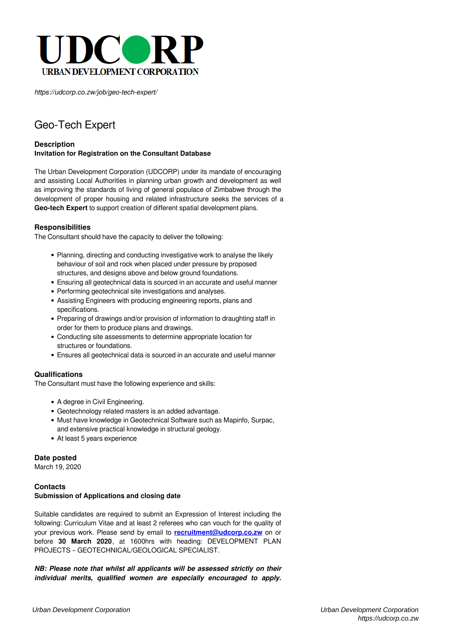

*https://udcorp.co.zw/job/geo-tech-expert/*

# Geo-Tech Expert

## **Description Invitation for Registration on the Consultant Database**

The Urban Development Corporation (UDCORP) under its mandate of encouraging and assisting Local Authorities in planning urban growth and development as well as improving the standards of living of general populace of Zimbabwe through the development of proper housing and related infrastructure seeks the services of a **Geo-tech Expert** to support creation of different spatial development plans.

#### **Responsibilities**

The Consultant should have the capacity to deliver the following:

- Planning, directing and conducting investigative work to analyse the likely behaviour of soil and rock when placed under pressure by proposed structures, and designs above and below ground foundations.
- Ensuring all geotechnical data is sourced in an accurate and useful manner
- Performing geotechnical site investigations and analyses.
- Assisting Engineers with producing engineering reports, plans and specifications.
- Preparing of drawings and/or provision of information to draughting staff in order for them to produce plans and drawings.
- Conducting site assessments to determine appropriate location for structures or foundations.
- Ensures all geotechnical data is sourced in an accurate and useful manner

#### **Qualifications**

The Consultant must have the following experience and skills:

- A degree in Civil Engineering.
- Geotechnology related masters is an added advantage.
- Must have knowledge in Geotechnical Software such as Mapinfo, Surpac, and extensive practical knowledge in structural geology.
- At least 5 years experience

#### **Date posted**

March 19, 2020

## **Contacts Submission of Applications and closing date**

Suitable candidates are required to submit an Expression of Interest including the following: Curriculum Vitae and at least 2 referees who can vouch for the quality of your previous work. Please send by email to **[recruitment@udcorp.co.zw](mailto:recruitment@udcorp.co.zw)** on or before **30 March 2020**, at 1600hrs with heading: DEVELOPMENT PLAN PROJECTS – GEOTECHNICAL/GEOLOGICAL SPECIALIST.

*NB: Please note that whilst all applicants will be assessed strictly on their individual merits, qualified women are especially encouraged to apply.*